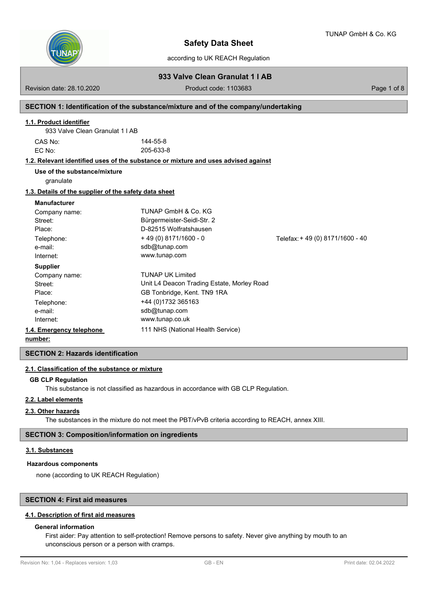

according to UK REACH Regulation

**933 Valve Clean Granulat 1 l AB**

Revision date: 28.10.2020 Product code: 1103683 Page 1 of 8

### **SECTION 1: Identification of the substance/mixture and of the company/undertaking**

### **1.1. Product identifier**

| CAS No: | 144-55-8  |  |
|---------|-----------|--|
| EC No:  | 205-633-8 |  |

### **1.2. Relevant identified uses of the substance or mixture and uses advised against**

granulate **Use of the substance/mixture**

#### **1.3. Details of the supplier of the safety data sheet**

#### **Manufacturer**

| Company name:            | TUNAP GmbH & Co. KG                        |                                 |
|--------------------------|--------------------------------------------|---------------------------------|
| Street:                  | Bürgermeister-Seidl-Str. 2                 |                                 |
| Place:                   | D-82515 Wolfratshausen                     |                                 |
| Telephone:               | $+49(0)8171/1600 - 0$                      | Telefax: +49 (0) 8171/1600 - 40 |
| e-mail:                  | sdb@tunap.com                              |                                 |
| Internet:                | www.tunap.com                              |                                 |
| <b>Supplier</b>          |                                            |                                 |
| Company name:            | <b>TUNAP UK Limited</b>                    |                                 |
| Street:                  | Unit L4 Deacon Trading Estate, Morley Road |                                 |
| Place:                   | GB Tonbridge, Kent. TN9 1RA                |                                 |
| Telephone:               | +44 (0)1732 365163                         |                                 |
| e-mail:                  | sdb@tunap.com                              |                                 |
| Internet:                | www.tunap.co.uk                            |                                 |
| 1.4. Emergency telephone | 111 NHS (National Health Service)          |                                 |
|                          |                                            |                                 |

**number:**

**SECTION 2: Hazards identification**

### **2.1. Classification of the substance or mixture**

### **GB CLP Regulation**

This substance is not classified as hazardous in accordance with GB CLP Regulation.

### **2.2. Label elements**

### **2.3. Other hazards**

The substances in the mixture do not meet the PBT/vPvB criteria according to REACH, annex XIII.

# **SECTION 3: Composition/information on ingredients**

#### **3.1. Substances**

#### **Hazardous components**

none (according to UK REACH Regulation)

# **SECTION 4: First aid measures**

#### **4.1. Description of first aid measures**

### **General information**

First aider: Pay attention to self-protection! Remove persons to safety. Never give anything by mouth to an unconscious person or a person with cramps.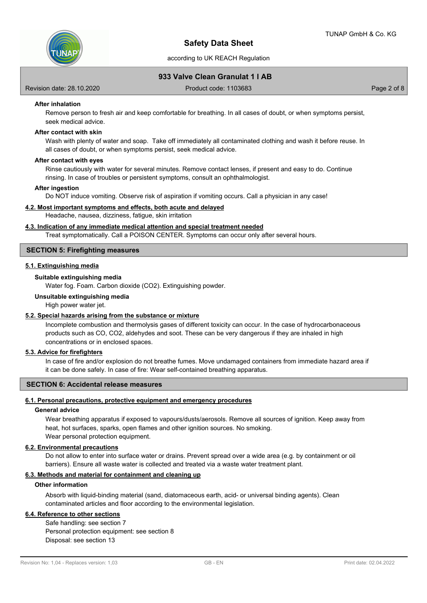

# **933 Valve Clean Granulat 1 l AB**

Revision date: 28.10.2020 Product code: 1103683 Page 2 of 8

### **After inhalation**

Remove person to fresh air and keep comfortable for breathing. In all cases of doubt, or when symptoms persist, seek medical advice.

### **After contact with skin**

Wash with plenty of water and soap. Take off immediately all contaminated clothing and wash it before reuse. In all cases of doubt, or when symptoms persist, seek medical advice.

#### **After contact with eyes**

Rinse cautiously with water for several minutes. Remove contact lenses, if present and easy to do. Continue rinsing. In case of troubles or persistent symptoms, consult an ophthalmologist.

#### **After ingestion**

Do NOT induce vomiting. Observe risk of aspiration if vomiting occurs. Call a physician in any case!

#### **4.2. Most important symptoms and effects, both acute and delayed**

Headache, nausea, dizziness, fatigue, skin irritation

### **4.3. Indication of any immediate medical attention and special treatment needed**

Treat symptomatically. Call a POISON CENTER. Symptoms can occur only after several hours.

# **SECTION 5: Firefighting measures**

### **5.1. Extinguishing media**

#### **Suitable extinguishing media**

Water fog. Foam. Carbon dioxide (CO2). Extinguishing powder.

#### **Unsuitable extinguishing media**

High power water jet.

#### **5.2. Special hazards arising from the substance or mixture**

Incomplete combustion and thermolysis gases of different toxicity can occur. In the case of hydrocarbonaceous products such as CO, CO2, aldehydes and soot. These can be very dangerous if they are inhaled in high concentrations or in enclosed spaces.

# **5.3. Advice for firefighters**

In case of fire and/or explosion do not breathe fumes. Move undamaged containers from immediate hazard area if it can be done safely. In case of fire: Wear self-contained breathing apparatus.

### **SECTION 6: Accidental release measures**

### **6.1. Personal precautions, protective equipment and emergency procedures**

### **General advice**

Wear breathing apparatus if exposed to vapours/dusts/aerosols. Remove all sources of ignition. Keep away from heat, hot surfaces, sparks, open flames and other ignition sources. No smoking. Wear personal protection equipment.

#### **6.2. Environmental precautions**

Do not allow to enter into surface water or drains. Prevent spread over a wide area (e.g. by containment or oil barriers). Ensure all waste water is collected and treated via a waste water treatment plant.

# **6.3. Methods and material for containment and cleaning up**

### **Other information**

Absorb with liquid-binding material (sand, diatomaceous earth, acid- or universal binding agents). Clean contaminated articles and floor according to the environmental legislation.

# **6.4. Reference to other sections**

Safe handling: see section 7 Personal protection equipment: see section 8 Disposal: see section 13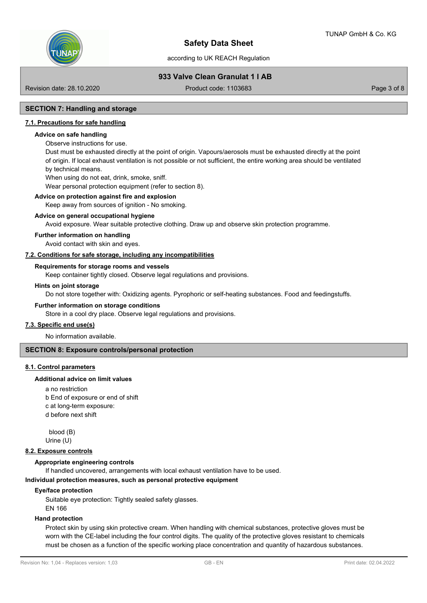

# **933 Valve Clean Granulat 1 l AB**

Revision date: 28.10.2020 Product code: 1103683 Page 3 of 8

# **SECTION 7: Handling and storage**

### **7.1. Precautions for safe handling**

### **Advice on safe handling**

Observe instructions for use.

Dust must be exhausted directly at the point of origin. Vapours/aerosols must be exhausted directly at the point of origin. If local exhaust ventilation is not possible or not sufficient, the entire working area should be ventilated by technical means.

When using do not eat, drink, smoke, sniff.

Wear personal protection equipment (refer to section 8).

#### **Advice on protection against fire and explosion**

Keep away from sources of ignition - No smoking.

#### **Advice on general occupational hygiene**

Avoid exposure. Wear suitable protective clothing. Draw up and observe skin protection programme.

### **Further information on handling**

Avoid contact with skin and eyes.

### **7.2. Conditions for safe storage, including any incompatibilities**

#### **Requirements for storage rooms and vessels**

Keep container tightly closed. Observe legal regulations and provisions.

#### **Hints on joint storage**

Do not store together with: Oxidizing agents. Pyrophoric or self-heating substances. Food and feedingstuffs.

#### **Further information on storage conditions**

Store in a cool dry place. Observe legal regulations and provisions.

### **7.3. Specific end use(s)**

No information available.

# **SECTION 8: Exposure controls/personal protection**

### **8.1. Control parameters**

#### **Additional advice on limit values**

a no restriction b End of exposure or end of shift c at long-term exposure: d before next shift

blood (B)

Urine (U)

### **8.2. Exposure controls**

### **Appropriate engineering controls**

If handled uncovered, arrangements with local exhaust ventilation have to be used.

#### **Individual protection measures, such as personal protective equipment**

#### **Eye/face protection**

Suitable eye protection: Tightly sealed safety glasses.

EN 166

### **Hand protection**

Protect skin by using skin protective cream. When handling with chemical substances, protective gloves must be worn with the CE-label including the four control digits. The quality of the protective gloves resistant to chemicals must be chosen as a function of the specific working place concentration and quantity of hazardous substances.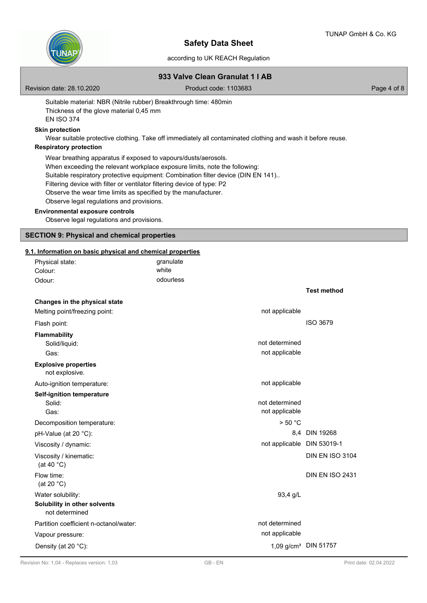



according to UK REACH Regulation

# **933 Valve Clean Granulat 1 l AB**

Revision date: 28.10.2020 Product code: 1103683 Page 4 of 8

Suitable material: NBR (Nitrile rubber) Breakthrough time: 480min Thickness of the glove material 0,45 mm EN ISO 374

# **Skin protection**

Wear suitable protective clothing. Take off immediately all contaminated clothing and wash it before reuse.

# **Respiratory protection**

Wear breathing apparatus if exposed to vapours/dusts/aerosols.

When exceeding the relevant workplace exposure limits, note the following:

Suitable respiratory protective equipment: Combination filter device (DIN EN 141)..

Filtering device with filter or ventilator filtering device of type: P2

Observe the wear time limits as specified by the manufacturer.

Observe legal regulations and provisions.

### **Environmental exposure controls**

Observe legal regulations and provisions.

### **SECTION 9: Physical and chemical properties**

# **9.1. Information on basic physical and chemical properties**

| Physical state:                                | granulate                        |                        |
|------------------------------------------------|----------------------------------|------------------------|
| Colour:                                        | white                            |                        |
| Odour:                                         | odourless                        |                        |
|                                                |                                  | <b>Test method</b>     |
| Changes in the physical state                  |                                  |                        |
| Melting point/freezing point:                  | not applicable                   |                        |
| Flash point:                                   |                                  | <b>ISO 3679</b>        |
| <b>Flammability</b>                            |                                  |                        |
| Solid/liquid:                                  | not determined                   |                        |
| Gas:                                           | not applicable                   |                        |
| <b>Explosive properties</b><br>not explosive.  |                                  |                        |
| Auto-ignition temperature:                     | not applicable                   |                        |
| <b>Self-ignition temperature</b>               |                                  |                        |
| Solid:                                         | not determined                   |                        |
| Gas:                                           | not applicable                   |                        |
| Decomposition temperature:                     | > 50 °C                          |                        |
| pH-Value (at 20 °C):                           |                                  | 8.4 DIN 19268          |
| Viscosity / dynamic:                           | not applicable DIN 53019-1       |                        |
| Viscosity / kinematic:<br>(at 40 $^{\circ}$ C) |                                  | <b>DIN EN ISO 3104</b> |
| Flow time:<br>(at 20 $°C$ )                    |                                  | <b>DIN EN ISO 2431</b> |
| Water solubility:                              | 93,4 g/L                         |                        |
| Solubility in other solvents<br>not determined |                                  |                        |
| Partition coefficient n-octanol/water:         | not determined                   |                        |
| Vapour pressure:                               | not applicable                   |                        |
| Density (at 20 °C):                            | 1,09 g/cm <sup>3</sup> DIN 51757 |                        |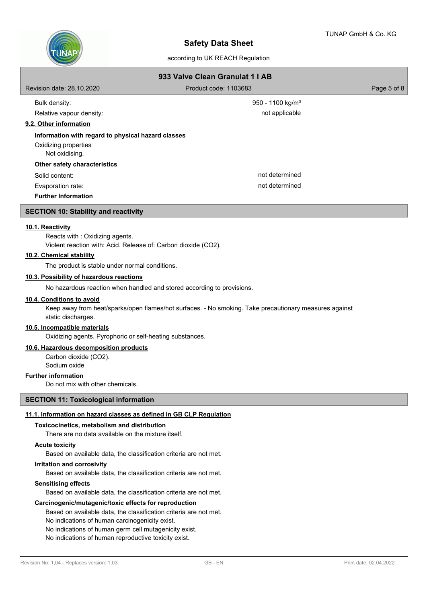

# according to UK REACH Regulation

| 933 Valve Clean Granulat 1   AB                    |                              |             |  |  |
|----------------------------------------------------|------------------------------|-------------|--|--|
| Revision date: 28.10.2020                          | Product code: 1103683        | Page 5 of 8 |  |  |
| Bulk density:                                      | 950 - 1100 kg/m <sup>3</sup> |             |  |  |
| Relative vapour density:                           | not applicable               |             |  |  |
| 9.2. Other information                             |                              |             |  |  |
| Information with regard to physical hazard classes |                              |             |  |  |
| Oxidizing properties<br>Not oxidising.             |                              |             |  |  |
| Other safety characteristics                       |                              |             |  |  |
| Solid content:                                     | not determined               |             |  |  |
| Evaporation rate:                                  | not determined               |             |  |  |
| <b>Further Information</b>                         |                              |             |  |  |
| CECTION 40. Ctability and readibility              |                              |             |  |  |

### **SECTION 10: Stability and reactivity**

### **10.1. Reactivity**

Reacts with : Oxidizing agents. Violent reaction with: Acid. Release of: Carbon dioxide (CO2).

# **10.2. Chemical stability**

The product is stable under normal conditions.

# **10.3. Possibility of hazardous reactions**

No hazardous reaction when handled and stored according to provisions.

### **10.4. Conditions to avoid**

Keep away from heat/sparks/open flames/hot surfaces. - No smoking. Take precautionary measures against static discharges.

# **10.5. Incompatible materials**

Oxidizing agents. Pyrophoric or self-heating substances.

### **10.6. Hazardous decomposition products**

Carbon dioxide (CO2). Sodium oxide

# **Further information**

Do not mix with other chemicals.

# **SECTION 11: Toxicological information**

# **11.1. Information on hazard classes as defined in GB CLP Regulation**

## **Toxicocinetics, metabolism and distribution**

There are no data available on the mixture itself.

# **Acute toxicity**

Based on available data, the classification criteria are not met.

### **Irritation and corrosivity**

Based on available data, the classification criteria are not met.

### **Sensitising effects**

Based on available data, the classification criteria are not met.

### **Carcinogenic/mutagenic/toxic effects for reproduction**

Based on available data, the classification criteria are not met.

No indications of human carcinogenicity exist.

No indications of human germ cell mutagenicity exist.

No indications of human reproductive toxicity exist.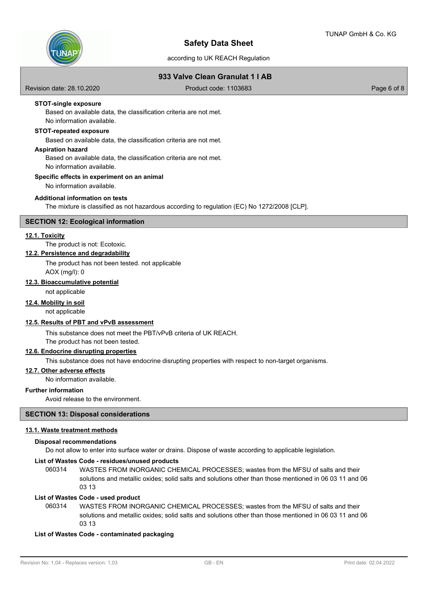

# according to UK REACH Regulation

# **933 Valve Clean Granulat 1 l AB**

Revision date: 28.10.2020 Product code: 1103683 Page 6 of 8

### **STOT-single exposure**

Based on available data, the classification criteria are not met. No information available.

### **STOT-repeated exposure**

Based on available data, the classification criteria are not met.

#### **Aspiration hazard**

Based on available data, the classification criteria are not met. No information available.

### **Specific effects in experiment on an animal**

No information available.

# **Additional information on tests**

The mixture is classified as not hazardous according to regulation (EC) No 1272/2008 [CLP].

# **SECTION 12: Ecological information**

### **12.1. Toxicity**

The product is not: Ecotoxic.

# **12.2. Persistence and degradability**

The product has not been tested. not applicable AOX (mg/l): 0

### **12.3. Bioaccumulative potential**

not applicable

# **12.4. Mobility in soil**

not applicable

# **12.5. Results of PBT and vPvB assessment**

This substance does not meet the PBT/vPvB criteria of UK REACH.

The product has not been tested.

# **12.6. Endocrine disrupting properties**

This substance does not have endocrine disrupting properties with respect to non-target organisms.

### **12.7. Other adverse effects**

No information available.

### **Further information**

Avoid release to the environment.

### **SECTION 13: Disposal considerations**

### **13.1. Waste treatment methods**

#### **Disposal recommendations**

Do not allow to enter into surface water or drains. Dispose of waste according to applicable legislation.

# **List of Wastes Code - residues/unused products**

060314 WASTES FROM INORGANIC CHEMICAL PROCESSES; wastes from the MFSU of salts and their solutions and metallic oxides; solid salts and solutions other than those mentioned in 06 03 11 and 06 03 13

### **List of Wastes Code - used product**

WASTES FROM INORGANIC CHEMICAL PROCESSES; wastes from the MFSU of salts and their solutions and metallic oxides; solid salts and solutions other than those mentioned in 06 03 11 and 06 03 13 060314

### **List of Wastes Code - contaminated packaging**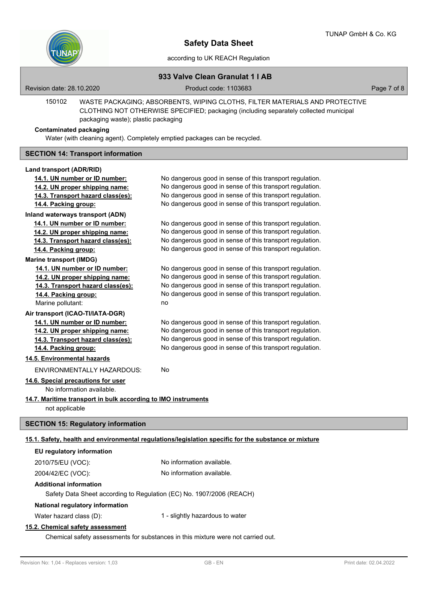

# **933 Valve Clean Granulat 1 l AB**

Revision date: 28.10.2020 Product code: 1103683 Page 7 of 8

WASTE PACKAGING; ABSORBENTS, WIPING CLOTHS, FILTER MATERIALS AND PROTECTIVE CLOTHING NOT OTHERWISE SPECIFIED; packaging (including separately collected municipal packaging waste); plastic packaging 150102

#### **Contaminated packaging**

Water (with cleaning agent). Completely emptied packages can be recycled.

### **SECTION 14: Transport information**

#### **Land transport (ADR/RID)**

| 14.1. UN number or ID number:                                                                        | No dangerous good in sense of this transport regulation. |  |  |
|------------------------------------------------------------------------------------------------------|----------------------------------------------------------|--|--|
| 14.2. UN proper shipping name:                                                                       | No dangerous good in sense of this transport regulation. |  |  |
| 14.3. Transport hazard class(es):                                                                    | No dangerous good in sense of this transport regulation. |  |  |
| 14.4. Packing group:                                                                                 | No dangerous good in sense of this transport regulation. |  |  |
| Inland waterways transport (ADN)                                                                     |                                                          |  |  |
| 14.1. UN number or ID number:                                                                        | No dangerous good in sense of this transport regulation. |  |  |
| 14.2. UN proper shipping name:                                                                       | No dangerous good in sense of this transport regulation. |  |  |
| 14.3. Transport hazard class(es):                                                                    | No dangerous good in sense of this transport regulation. |  |  |
| 14.4. Packing group:                                                                                 | No dangerous good in sense of this transport regulation. |  |  |
| <b>Marine transport (IMDG)</b>                                                                       |                                                          |  |  |
| 14.1. UN number or ID number:                                                                        | No dangerous good in sense of this transport regulation. |  |  |
| 14.2. UN proper shipping name:                                                                       | No dangerous good in sense of this transport regulation. |  |  |
| 14.3. Transport hazard class(es):                                                                    | No dangerous good in sense of this transport regulation. |  |  |
| 14.4. Packing group:                                                                                 | No dangerous good in sense of this transport regulation. |  |  |
| Marine pollutant:                                                                                    | no                                                       |  |  |
| Air transport (ICAO-TI/IATA-DGR)                                                                     |                                                          |  |  |
| 14.1. UN number or ID number:                                                                        | No dangerous good in sense of this transport regulation. |  |  |
| 14.2. UN proper shipping name:                                                                       | No dangerous good in sense of this transport regulation. |  |  |
| 14.3. Transport hazard class(es):                                                                    | No dangerous good in sense of this transport regulation. |  |  |
| 14.4. Packing group:                                                                                 | No dangerous good in sense of this transport regulation. |  |  |
| 14.5. Environmental hazards                                                                          |                                                          |  |  |
| ENVIRONMENTALLY HAZARDOUS:                                                                           | No                                                       |  |  |
| 14.6. Special precautions for user                                                                   |                                                          |  |  |
| No information available.                                                                            |                                                          |  |  |
| 14.7. Maritime transport in bulk according to IMO instruments                                        |                                                          |  |  |
| not applicable                                                                                       |                                                          |  |  |
| <b>SECTION 15: Regulatory information</b>                                                            |                                                          |  |  |
| 15.1. Safety, health and environmental regulations/legislation specific for the substance or mixture |                                                          |  |  |
| EU regulatory information                                                                            |                                                          |  |  |
| 2010/75/EU (VOC):                                                                                    | No information available.                                |  |  |
| 2004/42/EC (VOC):                                                                                    | No information available.                                |  |  |
| <b>Additional information</b>                                                                        |                                                          |  |  |
| Safety Data Sheet according to Regulation (EC) No. 1907/2006 (REACH)                                 |                                                          |  |  |
|                                                                                                      |                                                          |  |  |

# **National regulatory information**

Water hazard class (D): 1 - slightly hazardous to water

# **15.2. Chemical safety assessment**

Chemical safety assessments for substances in this mixture were not carried out.